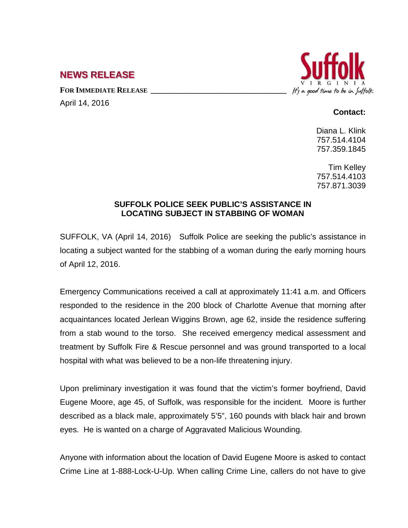## **NEWS RELEASE**

FOR **IMMEDIATE RELEASE** 

April 14, 2016



## **Contact:**

Diana L. Klink 757.514.4104 757.359.1845

Tim Kelley 757.514.4103 757.871.3039

## **SUFFOLK POLICE SEEK PUBLIC'S ASSISTANCE IN LOCATING SUBJECT IN STABBING OF WOMAN**

SUFFOLK, VA (April 14, 2016) Suffolk Police are seeking the public's assistance in locating a subject wanted for the stabbing of a woman during the early morning hours of April 12, 2016.

Emergency Communications received a call at approximately 11:41 a.m. and Officers responded to the residence in the 200 block of Charlotte Avenue that morning after acquaintances located Jerlean Wiggins Brown, age 62, inside the residence suffering from a stab wound to the torso. She received emergency medical assessment and treatment by Suffolk Fire & Rescue personnel and was ground transported to a local hospital with what was believed to be a non-life threatening injury.

Upon preliminary investigation it was found that the victim's former boyfriend, David Eugene Moore, age 45, of Suffolk, was responsible for the incident. Moore is further described as a black male, approximately 5'5", 160 pounds with black hair and brown eyes. He is wanted on a charge of Aggravated Malicious Wounding.

Anyone with information about the location of David Eugene Moore is asked to contact Crime Line at 1-888-Lock-U-Up. When calling Crime Line, callers do not have to give